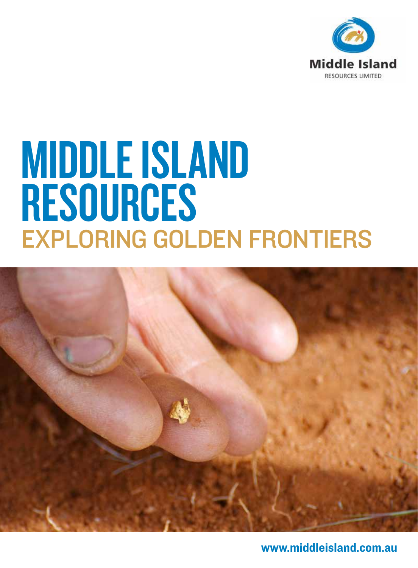

## Middle Island **RESOURCES** Exploring golden frontiers



www.middleisland.com.au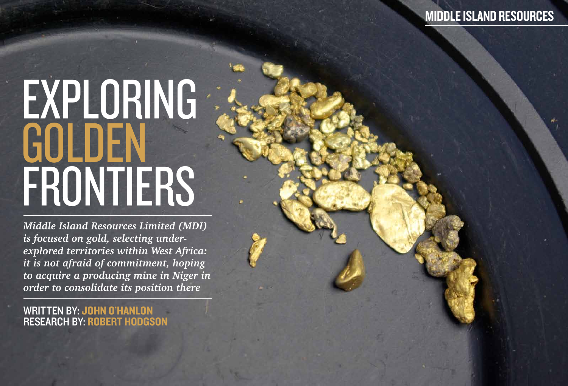# EXPLORING GOLDEN FRONTIERS

*Middle Island Resources Limited (MDI) is focused on gold, selecting underexplored territories within West Africa: it is not afraid of commitment, hoping to acquire a producing mine in Niger in order to consolidate its position there*

WRITTEN BY: JOHN O'HANLON research by: robert hodgson

## Middle Island Resou rces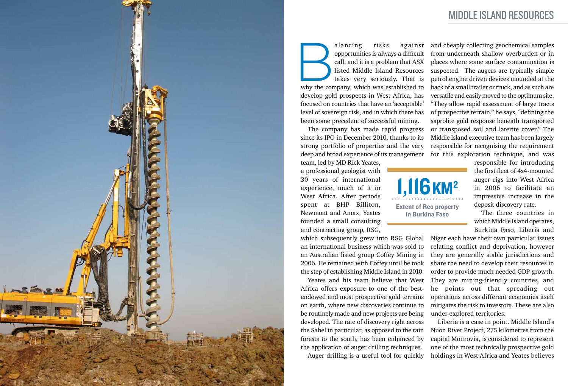

alancing risks against<br>
opportunities is always a difficult<br>
call, and it is a problem that ASX<br>
listed Middle Island Resources<br>
takes very seriously. That is<br>
why the company, which was established to opportunities is always a difficult call, and it is a problem that ASX listed Middle Island Resources takes very seriously. That is develop gold prospects in West Africa, has focused on countries that have an 'acceptable' level of sovereign risk, and in which there has been some precedent of successful mining.

The company has made rapid progress since its IPO in December 2010, thanks to its strong portfolio of properties and the very deep and broad experience of its management

team, led by MD Rick Yeates, a professional geologist with 30 years of international experience, much of it in West Africa. After periods spent at BHP Billiton, Newmont and Amax, Yeates founded a small consulting and contracting group, RSG,

which subsequently grew into RSG Global an international business which was sold to an Australian listed group Coffey Mining in 2006. He remained with Coffey until he took the step of establishing Middle Island in 2010.

Yeates and his team believe that West Africa offers exposure to one of the bestendowed and most prospective gold terrains on earth, where new discoveries continue to be routinely made and new projects are being developed. The rate of discovery right across the Sahel in particular, as opposed to the rain forests to the south, has been enhanced by the application of auger drilling techniques. Auger drilling is a useful tool for quickly

1.116<sub>KM<sup>2</sup></sub> Extent of Reo property in Burkina Faso

and cheaply collecting geochemical samples from underneath shallow overburden or in places where some surface contamination is suspected. The augers are typically simple petrol engine driven devices mounded at the back of a small trailer or truck, and as such are versatile and easily moved to the optimum site. "They allow rapid assessment of large tracts of prospective terrain," he says, "defining the saprolite gold response beneath transported or transposed soil and laterite cover." The Middle Island executive team has been largely responsible for recognising the requirement for this exploration technique, and was

> responsible for introducing the first fleet of 4x4-mounted auger rigs into West Africa in 2006 to facilitate an impressive increase in the deposit discovery rate.

> The three countries in which Middle Island operates, Burkina Faso, Liberia and

Niger each have their own particular issues relating conflict and deprivation, however they are generally stable jurisdictions and share the need to develop their resources in order to provide much needed GDP growth. They are mining-friendly countries, and he points out that spreading out operations across different economies itself mitigates the risk to investors. These are also under-explored territories.

Liberia is a case in point. Middle Island's Nuon River Project, 275 kilometres from the capital Monrovia, is considered to represent one of the most technically prospective gold holdings in West Africa and Yeates believes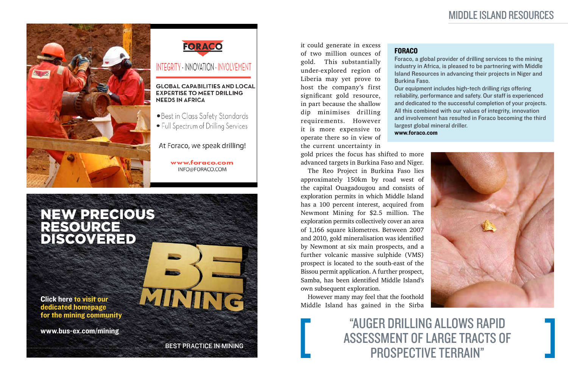



#### INTEGRITY - INNOVATION - INVOLVEMENT

#### **GLOBAL CAPABILITIES AND LOCAL EXPERTISE TO MEET DRILLING NEEDS IN AFRICA**

- · Best in Class Safety Standards
- Full Spectrum of Drilling Services

At Foraco, we speak drilling!

www.foraco.com INFO@FORACO.COM

it could generate in excess of two million ounces of gold. This substantially under-explored region of Liberia may yet prove to host the company's first significant gold resource, in part because the shallow dip minimises drilling requirements. However it is more expensive to operate there so in view of the current uncertainty in

#### **FORACO**

gold prices the focus has shifted to more advanced targets in Burkina Faso and Niger.

The Reo Project in Burkina Faso lies approximately 150km by road west of the capital Ouagadougou and consists of exploration permits in which Middle Island has a 100 percent interest, acquired from Newmont Mining for \$2.5 million. The exploration permits collectively cover an area of 1,166 square kilometres. Between 2007 and 2010, gold mineralisation was identified by Newmont at six main prospects, and a further volcanic massive sulphide (VMS) prospect is located to the south-east of the Bissou permit application. A further prospect, Samba, has been identified Middle Island's own subsequent exploration.

However many may feel that the foothold Middle Island has gained in the Sirba

### Middle Island Resources



#### NEW PRECIOUS RESOURCE DISCOVERED

Click here to visit our dedicated homepage for the mining community

www.bus-ex.com/mining

BEST PRACTICE IN MINING

MATTTE

"Auger drilling allows rapid assessment of large tracts of prospective terrain"

Foraco, a global provider of drilling services to the mining industry in Africa, is pleased to be partnering with Middle Island Resources in advancing their projects in Niger and Burkina Faso. Our equipment includes high-tech drilling rigs offering reliability, performance and safety. Our staff is experienced and dedicated to the successful completion of your projects. All this combined with our values of integrity, innovation and involvement has resulted in Foraco becoming the third largest global mineral driller. www.foraco.com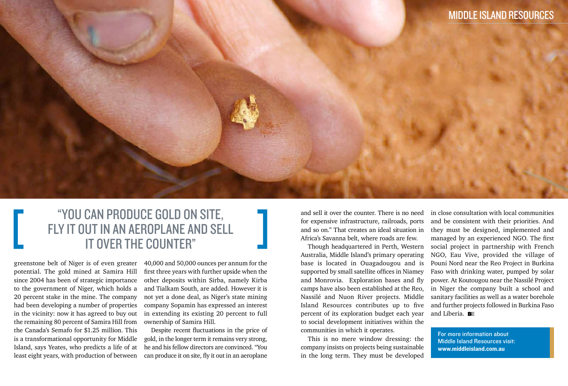## "You can produce gold on site, FLY IT OUT IN AN AEROPLANE AND SELL it over the counter"

greenstone belt of Niger is of even greater potential. The gold mined at Samira Hill since 2004 has been of strategic importance to the government of Niger, which holds a 20 percent stake in the mine. The company had been developing a number of properties in the vicinity: now it has agreed to buy out the remaining 80 percent of Samira Hill from the Canada's Semafo for \$1.25 million. This is a transformational opportunity for Middle Island, says Yeates, who predicts a life of at least eight years, with production of between

and sell it over the counter. There is no need for expensive infrastructure, railroads, ports and so on." That creates an ideal situation in Africa's Savanna belt, where roads are few.

in close consultation with local communities and be consistent with their priorities. And they must be designed, implemented and managed by an experienced NGO. The first social project in partnership with French NGO, Eau Vive, provided the village of Pouni Nord near the Reo Project in Burkina Faso with drinking water, pumped by solar power. At Koutougou near the Nassilé Project in Niger the company built a school and sanitary facilities as well as a water borehole and further projects followed in Burkina Faso and Liberia. **B** 

Though headquartered in Perth, Western Australia, Middle Island's primary operating base is located in Ouagadougou and is supported by small satellite offices in Niamey and Monrovia. Exploration bases and fly camps have also been established at the Reo, Nassilé and Nuon River projects. Middle Island Resources contributes up to five percent of its exploration budget each year to social development initiatives within the communities in which it operates.

This is no mere window dressing: the company insists on projects being sustainable in the long term. They must be developed

40,000 and 50,000 ounces per annum for the first three years with further upside when the other deposits within Sirba, namely Kirba and Tialkam South, are added. However it is not yet a done deal, as Niger's state mining company Sopamin has expressed an interest in extending its existing 20 percent to full ownership of Samira Hill.

Despite recent fluctuations in the price of gold, in the longer term it remains very strong, he and his fellow directors are convinced. "You can produce it on site, fly it out in an aeroplane



For more information about Middle Island Resources visit: www.middleisland.com.au